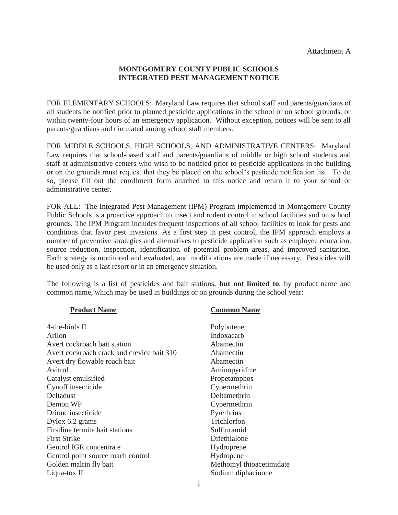## **MONTGOMERY COUNTY PUBLIC SCHOOLS INTEGRATED PEST MANAGEMENT NOTICE**

FOR ELEMENTARY SCHOOLS: Maryland Law requires that school staff and parents/guardians of all students be notified prior to planned pesticide applications in the school or on school grounds, or within twenty-four hours of an emergency application. Without exception, notices will be sent to all parents/guardians and circulated among school staff members.

FOR MIDDLE SCHOOLS, HIGH SCHOOLS, AND ADMINISTRATIVE CENTERS: Maryland Law requires that school-based staff and parents/guardians of middle or high school students and staff at administrative centers who wish to be notified prior to pesticide applications in the building or on the grounds must request that they be placed on the school's pesticide notification list. To do so, please fill out the enrollment form attached to this notice and return it to your school or administrative center.

FOR ALL: The Integrated Pest Management (IPM) Program implemented in Montgomery County Public Schools is a proactive approach to insect and rodent control in school facilities and on school grounds. The IPM Program includes frequent inspections of all school facilities to look for pests and conditions that favor pest invasions. As a first step in pest control, the IPM approach employs a number of preventive strategies and alternatives to pesticide application such as employee education, source reduction, inspection, identification of potential problem areas, and improved sanitation. Each strategy is monitored and evaluated, and modifications are made if necessary. Pesticides will be used only as a last resort or in an emergency situation.

The following is a list of pesticides and bait stations, **but not limited to**, by product name and common name, which may be used in buildings or on grounds during the school year:

| <b>Product Name</b>                        | <b>Common Name</b>       |
|--------------------------------------------|--------------------------|
| 4-the-birds II                             | Polybutene               |
| Arilon                                     | Indoxacarb               |
| Avert cockroach bait station               | Abamectin                |
| Avert cockroach crack and crevice bait 310 | Abamectin                |
| Avert dry flowable roach bait              | Abamectin                |
| Avitrol                                    | Aminopyridine            |
| Catalyst emulsified                        | Propetamphos             |
| Cynoff insecticide                         | Cypermethrin             |
| Deltadust                                  | Deltamethrin             |
| Demon WP                                   | Cypermethrin             |
| Drione insecticide                         | Pyrethrins               |
| Dylox 6.2 grams                            | Trichlorfon              |
| Firstline termite bait stations            | Sulfluramid              |
| <b>First Strike</b>                        | Difethialone             |
| Gentrol IGR concentrate                    | Hydroprene               |
| Gentrol point source roach control         | Hydropene                |
| Golden malrin fly bait                     | Methomyl thioacetimidate |
| Liqua-tox II                               | Sodium diphacinone       |
|                                            |                          |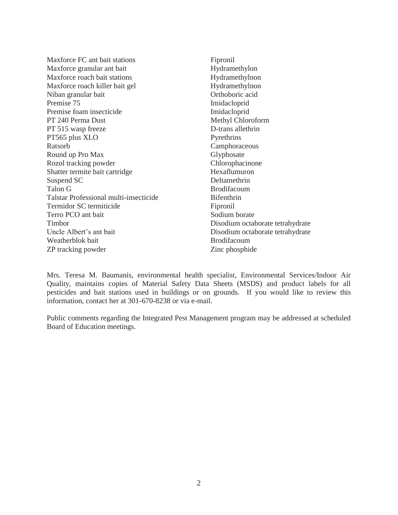| Maxforce FC ant bait stations          | Fipronil                         |  |
|----------------------------------------|----------------------------------|--|
| Maxforce granular ant bait             | Hydramethylon                    |  |
| Maxforce roach bait stations           | Hydramethylnon                   |  |
| Maxforce roach killer bait gel         | Hydramethylnon                   |  |
| Niban granular bait                    | Orthoboric acid                  |  |
| Premise 75                             | Imidacloprid                     |  |
| Premise foam insecticide               | Imidacloprid                     |  |
| PT 240 Perma Dust                      | Methyl Chloroform                |  |
| PT 515 wasp freeze                     | D-trans allethrin                |  |
| PT565 plus XLO                         | Pyrethrins                       |  |
| Ratsorb                                | Camphoraceous                    |  |
| Round up Pro Max                       | Glyphosate                       |  |
| Rozol tracking powder                  | Chlorophacinone                  |  |
| Shatter termite bait cartridge         | Hexaflumuron                     |  |
| Suspend SC                             | Deltamethrin                     |  |
| Talon G                                | <b>Brodifacoum</b>               |  |
| Talstar Professional multi-insecticide | <b>Bifenthrin</b>                |  |
| Termidor SC termiticide                | Fipronil                         |  |
| Terro PCO ant bait                     | Sodium borate                    |  |
| Timbor                                 | Disodium octaborate tetrahydrate |  |
| Uncle Albert's ant bait                | Disodium octaborate tetrahydrate |  |
| Weatherblok bait                       | <b>Brodifacoum</b>               |  |
| ZP tracking powder                     | Zinc phosphide                   |  |

Mrs. Teresa M. Baumanis, environmental health specialist, Environmental Services/Indoor Air Quality, maintains copies of Material Safety Data Sheets (MSDS) and product labels for all pesticides and bait stations used in buildings or on grounds. If you would like to review this information, contact her at 301-670-8238 or via e-mail.

Public comments regarding the Integrated Pest Management program may be addressed at scheduled Board of Education meetings.